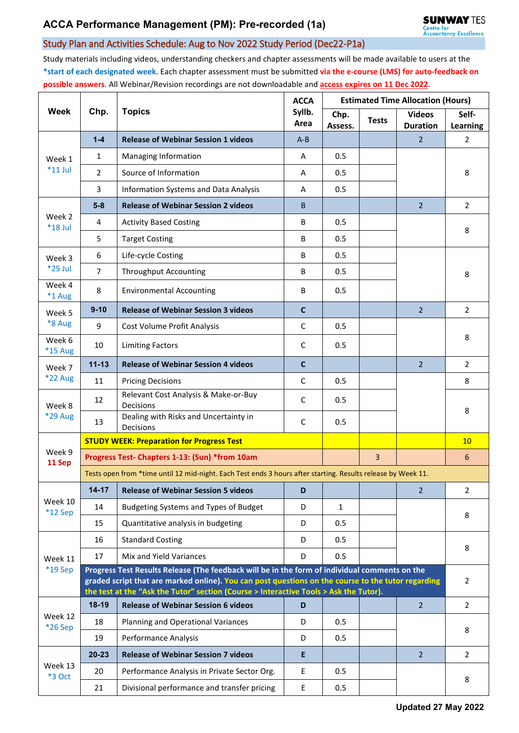## Study Plan and Activities Schedule: Aug to Nov 2022 Study Period (Dec22-P1a)

Study materials including videos, understanding checkers and chapter assessments will be made available to users at the **\*start of each designated week**. Each chapter assessment must be submitted **via the e-course (LMS) for auto-feedback on possible answers**. All Webinar/Revision recordings are not downloadable and **access expires on 11 Dec 2022**.

| <b>Week</b>              | Chp.                                                                                                                                                                                                                                                                                         | <b>Topics</b>                                      | <b>ACCA</b><br>Syllb.<br>Area | <b>Estimated Time Allocation (Hours)</b> |              |                                  |                   |  |  |
|--------------------------|----------------------------------------------------------------------------------------------------------------------------------------------------------------------------------------------------------------------------------------------------------------------------------------------|----------------------------------------------------|-------------------------------|------------------------------------------|--------------|----------------------------------|-------------------|--|--|
|                          |                                                                                                                                                                                                                                                                                              |                                                    |                               | Chp.<br>Assess.                          | <b>Tests</b> | <b>Videos</b><br><b>Duration</b> | Self-<br>Learning |  |  |
| Week 1<br>$*11$ Jul      | $1 - 4$                                                                                                                                                                                                                                                                                      | <b>Release of Webinar Session 1 videos</b>         | $A - B$                       |                                          |              | $\overline{2}$                   | 2                 |  |  |
|                          | 1                                                                                                                                                                                                                                                                                            | Managing Information                               | A                             | 0.5                                      |              |                                  |                   |  |  |
|                          | $\overline{2}$                                                                                                                                                                                                                                                                               | Source of Information                              | A                             | 0.5                                      |              |                                  | 8                 |  |  |
|                          | 3                                                                                                                                                                                                                                                                                            | Information Systems and Data Analysis              | A                             | 0.5                                      |              |                                  |                   |  |  |
| Week 2<br>$*18$ Jul      | $5-8$                                                                                                                                                                                                                                                                                        | <b>Release of Webinar Session 2 videos</b>         | B.                            |                                          |              | $\overline{2}$                   | $\overline{2}$    |  |  |
|                          | 4                                                                                                                                                                                                                                                                                            | <b>Activity Based Costing</b>                      | В                             | 0.5                                      |              |                                  | 8                 |  |  |
|                          | 5                                                                                                                                                                                                                                                                                            | <b>Target Costing</b>                              | B                             | 0.5                                      |              |                                  |                   |  |  |
| Week 3<br>$*25$ Jul      | 6                                                                                                                                                                                                                                                                                            | Life-cycle Costing                                 | B                             | 0.5                                      |              |                                  | 8                 |  |  |
|                          | $\overline{7}$                                                                                                                                                                                                                                                                               | <b>Throughput Accounting</b>                       | В                             | 0.5                                      |              |                                  |                   |  |  |
| Week 4<br>*1 Aug         | 8                                                                                                                                                                                                                                                                                            | <b>Environmental Accounting</b>                    | B                             | 0.5                                      |              |                                  |                   |  |  |
| Week 5                   | $9 - 10$                                                                                                                                                                                                                                                                                     | <b>Release of Webinar Session 3 videos</b>         | $\mathbf{C}$                  |                                          |              | $\overline{2}$                   | $\overline{2}$    |  |  |
| *8 Aug                   | 9                                                                                                                                                                                                                                                                                            | Cost Volume Profit Analysis                        | $\mathsf{C}$                  | 0.5                                      |              |                                  |                   |  |  |
| Week 6<br>*15 Aug        | 10                                                                                                                                                                                                                                                                                           | <b>Limiting Factors</b>                            | C                             | 0.5                                      |              |                                  | 8                 |  |  |
| Week 7                   | $11 - 13$                                                                                                                                                                                                                                                                                    | <b>Release of Webinar Session 4 videos</b>         | $\mathbf c$                   |                                          |              | $\overline{2}$                   | $\overline{2}$    |  |  |
| <b>*22 Aug</b>           | 11                                                                                                                                                                                                                                                                                           | <b>Pricing Decisions</b>                           | C                             | 0.5                                      |              |                                  | 8                 |  |  |
| Week 8<br><b>*29 Aug</b> | 12                                                                                                                                                                                                                                                                                           | Relevant Cost Analysis & Make-or-Buy<br>Decisions  | C                             | 0.5                                      |              |                                  | 8                 |  |  |
|                          | 13                                                                                                                                                                                                                                                                                           | Dealing with Risks and Uncertainty in<br>Decisions | C                             | 0.5                                      |              |                                  |                   |  |  |
|                          |                                                                                                                                                                                                                                                                                              | <b>STUDY WEEK: Preparation for Progress Test</b>   |                               |                                          |              |                                  | 10                |  |  |
| Week 9<br>11 Sep         | Progress Test- Chapters 1-13: (Sun) *from 10am                                                                                                                                                                                                                                               |                                                    |                               |                                          | 3            |                                  | 6                 |  |  |
|                          | Tests open from *time until 12 mid-night. Each Test ends 3 hours after starting. Results release by Week 11.                                                                                                                                                                                 |                                                    |                               |                                          |              |                                  |                   |  |  |
|                          | $14 - 17$                                                                                                                                                                                                                                                                                    | <b>Release of Webinar Session 5 videos</b>         | D                             |                                          |              | $\overline{2}$                   | 2                 |  |  |
| Week 10<br>$*12$ Sep     | 14                                                                                                                                                                                                                                                                                           | Budgeting Systems and Types of Budget              | D                             | 1                                        |              |                                  | 8                 |  |  |
|                          | 15                                                                                                                                                                                                                                                                                           | Quantitative analysis in budgeting                 | D                             | 0.5                                      |              |                                  |                   |  |  |
| Week 11<br>*19 Sep       | 16                                                                                                                                                                                                                                                                                           | <b>Standard Costing</b>                            | D                             | 0.5                                      |              |                                  | 8                 |  |  |
|                          | 17                                                                                                                                                                                                                                                                                           | Mix and Yield Variances                            | D                             | 0.5                                      |              |                                  |                   |  |  |
|                          | Progress Test Results Release (The feedback will be in the form of individual comments on the<br>graded script that are marked online). You can post questions on the course to the tutor regarding<br>the test at the "Ask the Tutor" section (Course > Interactive Tools > Ask the Tutor). |                                                    |                               |                                          |              |                                  |                   |  |  |
|                          | $18-19$                                                                                                                                                                                                                                                                                      | <b>Release of Webinar Session 6 videos</b>         | D                             |                                          |              | $\overline{2}$                   | $\overline{2}$    |  |  |
| Week 12<br>*26 Sep       | 18                                                                                                                                                                                                                                                                                           | Planning and Operational Variances                 | D                             | 0.5                                      |              |                                  |                   |  |  |
|                          | 19                                                                                                                                                                                                                                                                                           | Performance Analysis                               | D                             | 0.5                                      |              |                                  | 8                 |  |  |
| Week 13<br>*3 Oct        | $20 - 23$                                                                                                                                                                                                                                                                                    | <b>Release of Webinar Session 7 videos</b>         | E                             |                                          |              | $\overline{2}$                   | $\overline{2}$    |  |  |
|                          | 20                                                                                                                                                                                                                                                                                           | Performance Analysis in Private Sector Org.        | E                             | 0.5                                      |              |                                  | 8                 |  |  |
|                          | 21                                                                                                                                                                                                                                                                                           | Divisional performance and transfer pricing        | E                             | 0.5                                      |              |                                  |                   |  |  |